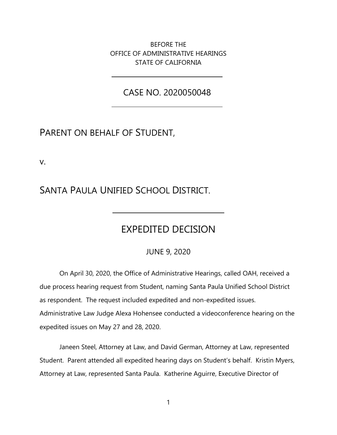BEFORE THE OFFICE OF ADMINISTRATIVE HEARINGS STATE OF CALIFORNIA

CASE NO. 2020050048

### PARENT ON BEHALF OF STUDENT,

v.

SANTA PAULA UNIFIED SCHOOL DISTRICT.

## EXPEDITED DECISION

JUNE 9, 2020

On April 30, 2020, the Office of Administrative Hearings, called OAH, received a due process hearing request from Student, naming Santa Paula Unified School District as respondent. The request included expedited and non-expedited issues. Administrative Law Judge Alexa Hohensee conducted a videoconference hearing on the expedited issues on May 27 and 28, 2020.

Janeen Steel, Attorney at Law, and David German, Attorney at Law, represented Student. Parent attended all expedited hearing days on Student's behalf. Kristin Myers, Attorney at Law, represented Santa Paula. Katherine Aguirre, Executive Director of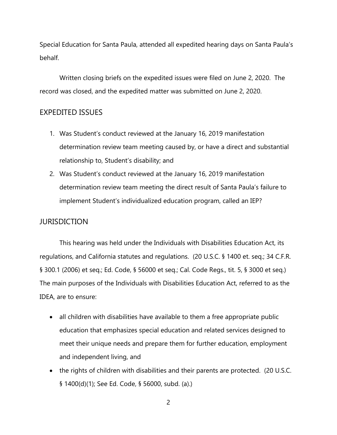Special Education for Santa Paula, attended all expedited hearing days on Santa Paula's behalf.

Written closing briefs on the expedited issues were filed on June 2, 2020. The record was closed, and the expedited matter was submitted on June 2, 2020.

### EXPEDITED ISSUES

- 1. Was Student's conduct reviewed at the January 16, 2019 manifestation determination review team meeting caused by, or have a direct and substantial relationship to, Student's disability; and
- 2. Was Student's conduct reviewed at the January 16, 2019 manifestation determination review team meeting the direct result of Santa Paula's failure to implement Student's individualized education program, called an IEP?

#### **JURISDICTION**

This hearing was held under the Individuals with Disabilities Education Act, its regulations, and California statutes and regulations. (20 U.S.C. § 1400 et. seq.; 34 C.F.R. § 300.1 (2006) et seq.; Ed. Code, § 56000 et seq.; Cal. Code Regs., tit. 5, § 3000 et seq.) The main purposes of the Individuals with Disabilities Education Act, referred to as the IDEA, are to ensure:

- all children with disabilities have available to them a free appropriate public education that emphasizes special education and related services designed to meet their unique needs and prepare them for further education, employment and independent living, and
- the rights of children with disabilities and their parents are protected. (20 U.S.C. § 1400(d)(1); See Ed. Code, § 56000, subd. (a).)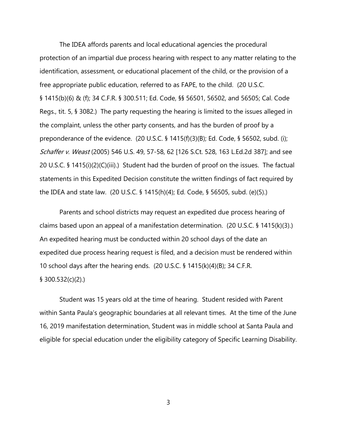The IDEA affords parents and local educational agencies the procedural protection of an impartial due process hearing with respect to any matter relating to the identification, assessment, or educational placement of the child, or the provision of a free appropriate public education, referred to as FAPE, to the child. (20 U.S.C. § 1415(b)(6) & (f); 34 C.F.R. § 300.511; Ed. Code, §§ 56501, 56502, and 56505; Cal. Code Regs., tit. 5, § 3082.) The party requesting the hearing is limited to the issues alleged in the complaint, unless the other party consents, and has the burden of proof by a preponderance of the evidence. (20 U.S.C. § 1415(f)(3)(B); Ed. Code, § 56502, subd. (i); Schaffer v. Weast (2005) 546 U.S. 49, 57-58, 62 [126 S.Ct. 528, 163 L.Ed.2d 387]; and see 20 U.S.C. § 1415(i)(2)(C)(iii).) Student had the burden of proof on the issues. The factual statements in this Expedited Decision constitute the written findings of fact required by the IDEA and state law. (20 U.S.C. § 1415(h)(4); Ed. Code, § 56505, subd. (e)(5).)

Parents and school districts may request an expedited due process hearing of claims based upon an appeal of a manifestation determination. (20 U.S.C. § 1415(k)(3).) An expedited hearing must be conducted within 20 school days of the date an expedited due process hearing request is filed, and a decision must be rendered within 10 school days after the hearing ends. (20 U.S.C. § 1415(k)(4)(B); 34 C.F.R. § 300.532(c)(2).)

Student was 15 years old at the time of hearing. Student resided with Parent within Santa Paula's geographic boundaries at all relevant times. At the time of the June 16, 2019 manifestation determination, Student was in middle school at Santa Paula and eligible for special education under the eligibility category of Specific Learning Disability.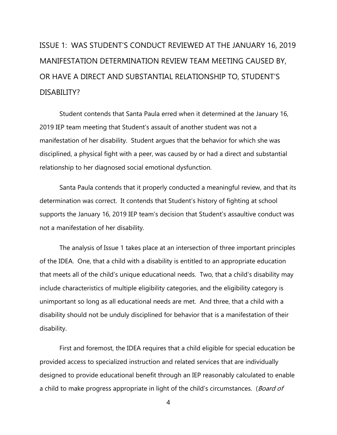# ISSUE 1: WAS STUDENT'S CONDUCT REVIEWED AT THE JANUARY 16, 2019 MANIFESTATION DETERMINATION REVIEW TEAM MEETING CAUSED BY, OR HAVE A DIRECT AND SUBSTANTIAL RELATIONSHIP TO, STUDENT'S DISABILITY?

Student contends that Santa Paula erred when it determined at the January 16, 2019 IEP team meeting that Student's assault of another student was not a manifestation of her disability. Student argues that the behavior for which she was disciplined, a physical fight with a peer, was caused by or had a direct and substantial relationship to her diagnosed social emotional dysfunction.

Santa Paula contends that it properly conducted a meaningful review, and that its determination was correct. It contends that Student's history of fighting at school supports the January 16, 2019 IEP team's decision that Student's assaultive conduct was not a manifestation of her disability.

The analysis of Issue 1 takes place at an intersection of three important principles of the IDEA. One, that a child with a disability is entitled to an appropriate education that meets all of the child's unique educational needs. Two, that a child's disability may include characteristics of multiple eligibility categories, and the eligibility category is unimportant so long as all educational needs are met. And three, that a child with a disability should not be unduly disciplined for behavior that is a manifestation of their disability.

First and foremost, the IDEA requires that a child eligible for special education be provided access to specialized instruction and related services that are individually designed to provide educational benefit through an IEP reasonably calculated to enable a child to make progress appropriate in light of the child's circumstances. (Board of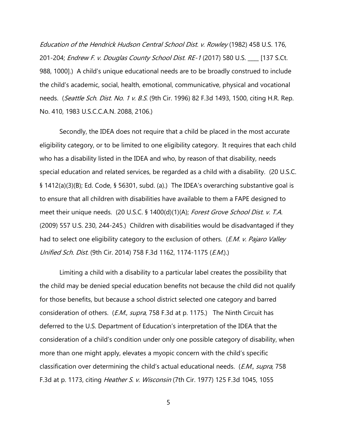Education of the Hendrick Hudson Central School Dist. v. Rowley (1982) 458 U.S. 176, 201-204; Endrew F. v. Douglas County School Dist. RE-1 (2017) 580 U.S. \_\_\_ [137 S.Ct. 988, 1000].) A child's unique educational needs are to be broadly construed to include the child's academic, social, health, emotional, communicative, physical and vocational needs. (Seattle Sch. Dist. No. 1 v. B.S. (9th Cir. 1996) 82 F.3d 1493, 1500, citing H.R. Rep. No. 410, 1983 U.S.C.C.A.N. 2088, 2106.)

Secondly, the IDEA does not require that a child be placed in the most accurate eligibility category, or to be limited to one eligibility category. It requires that each child who has a disability listed in the IDEA and who, by reason of that disability, needs special education and related services, be regarded as a child with a disability. (20 U.S.C. § 1412(a)(3)(B); Ed. Code, § 56301, subd. (a).) The IDEA's overarching substantive goal is to ensure that all children with disabilities have available to them a FAPE designed to meet their unique needs. (20 U.S.C. § 1400(d)(1)(A); Forest Grove School Dist. v. T.A. (2009) 557 U.S. 230, 244-245.) Children with disabilities would be disadvantaged if they had to select one eligibility category to the exclusion of others. (*E.M. v. Pajaro Valley* Unified Sch. Dist. (9th Cir. 2014) 758 F.3d 1162, 1174-1175 (E.M.).)

Limiting a child with a disability to a particular label creates the possibility that the child may be denied special education benefits not because the child did not qualify for those benefits, but because a school district selected one category and barred consideration of others. (*E.M., supra*, 758 F.3d at p. 1175.) The Ninth Circuit has deferred to the U.S. Department of Education's interpretation of the IDEA that the consideration of a child's condition under only one possible category of disability, when more than one might apply, elevates a myopic concern with the child's specific classification over determining the child's actual educational needs. (*E.M., supra*, 758 F.3d at p. 1173, citing *Heather S. v. Wisconsin* (7th Cir. 1977) 125 F.3d 1045, 1055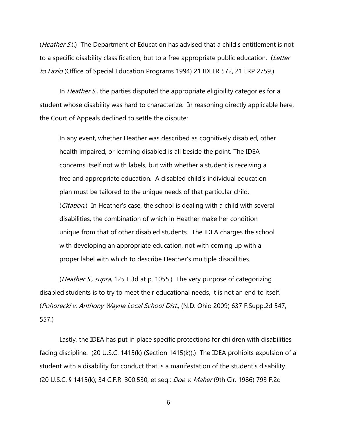(*Heather S.*).) The Department of Education has advised that a child's entitlement is not to a specific disability classification, but to a free appropriate public education. (Letter to Fazio (Office of Special Education Programs 1994) 21 IDELR 572, 21 LRP 2759.)

In *Heather S.*, the parties disputed the appropriate eligibility categories for a student whose disability was hard to characterize. In reasoning directly applicable here, the Court of Appeals declined to settle the dispute:

In any event, whether Heather was described as cognitively disabled, other health impaired, or learning disabled is all beside the point. The IDEA concerns itself not with labels, but with whether a student is receiving a free and appropriate education. A disabled child's individual education plan must be tailored to the unique needs of that particular child. (Citation.) In Heather's case, the school is dealing with a child with several disabilities, the combination of which in Heather make her condition unique from that of other disabled students. The IDEA charges the school with developing an appropriate education, not with coming up with a proper label with which to describe Heather's multiple disabilities.

(*Heather S., supra*, 125 F.3d at p. 1055.) The very purpose of categorizing disabled students is to try to meet their educational needs, it is not an end to itself. (Pohorecki v. Anthony Wayne Local School Dist., (N.D. Ohio 2009) 637 F.Supp.2d 547, 557.)

Lastly, the IDEA has put in place specific protections for children with disabilities facing discipline. (20 U.S.C. 1415(k) (Section 1415(k)).) The IDEA prohibits expulsion of a student with a disability for conduct that is a manifestation of the student's disability. (20 U.S.C. § 1415(k); 34 C.F.R. 300.530, et seq.; Doe v. Maher (9th Cir. 1986) 793 F.2d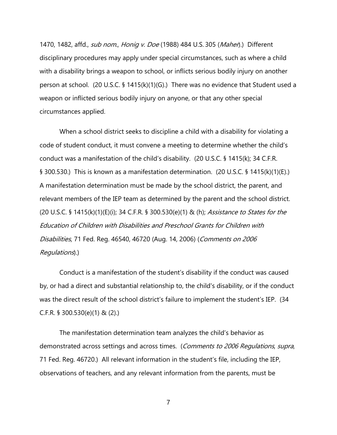1470, 1482, affd., *sub nom., Honig v. Doe* (1988) 484 U.S. 305 (*Maher*).) Different disciplinary procedures may apply under special circumstances, such as where a child with a disability brings a weapon to school, or inflicts serious bodily injury on another person at school. (20 U.S.C. § 1415(k)(1)(G).) There was no evidence that Student used a weapon or inflicted serious bodily injury on anyone, or that any other special circumstances applied.

When a school district seeks to discipline a child with a disability for violating a code of student conduct, it must convene a meeting to determine whether the child's conduct was a manifestation of the child's disability. (20 U.S.C. § 1415(k); 34 C.F.R. § 300.530.) This is known as a manifestation determination. (20 U.S.C. § 1415(k)(1)(E).) A manifestation determination must be made by the school district, the parent, and relevant members of the IEP team as determined by the parent and the school district. (20 U.S.C. § 1415(k)(1)(E)(i); 34 C.F.R. § 300.530(e)(1) & (h); Assistance to States for the Education of Children with Disabilities and Preschool Grants for Children with Disabilities, 71 Fed. Reg. 46540, 46720 (Aug. 14, 2006) (Comments on 2006 Regulations).)

Conduct is a manifestation of the student's disability if the conduct was caused by, or had a direct and substantial relationship to, the child's disability, or if the conduct was the direct result of the school district's failure to implement the student's IEP. (34 C.F.R. § 300.530(e)(1) & (2).)

The manifestation determination team analyzes the child's behavior as demonstrated across settings and across times. (Comments to 2006 Regulations, supra, 71 Fed. Reg. 46720.) All relevant information in the student's file, including the IEP, observations of teachers, and any relevant information from the parents, must be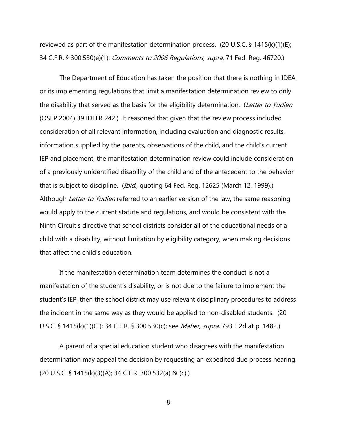reviewed as part of the manifestation determination process. (20 U.S.C. § 1415(k)(1)(E); 34 C.F.R. § 300.530(e)(1); *Comments to 2006 Regulations, supra*, 71 Fed. Reg. 46720.)

The Department of Education has taken the position that there is nothing in IDEA or its implementing regulations that limit a manifestation determination review to only the disability that served as the basis for the eligibility determination. (Letter to Yudien (OSEP 2004) 39 IDELR 242.) It reasoned that given that the review process included consideration of all relevant information, including evaluation and diagnostic results, information supplied by the parents, observations of the child, and the child's current IEP and placement, the manifestation determination review could include consideration of a previously unidentified disability of the child and of the antecedent to the behavior that is subject to discipline. (*Ibid.,* quoting 64 Fed. Reg. 12625 (March 12, 1999).) Although Letter to Yudien referred to an earlier version of the law, the same reasoning would apply to the current statute and regulations, and would be consistent with the Ninth Circuit's directive that school districts consider all of the educational needs of a child with a disability, without limitation by eligibility category, when making decisions that affect the child's education.

If the manifestation determination team determines the conduct is not a manifestation of the student's disability, or is not due to the failure to implement the student's IEP, then the school district may use relevant disciplinary procedures to address the incident in the same way as they would be applied to non-disabled students. (20 U.S.C. § 1415(k)(1)(C); 34 C.F.R. § 300.530(c); see *Maher, supra*, 793 F.2d at p. 1482.)

A parent of a special education student who disagrees with the manifestation determination may appeal the decision by requesting an expedited due process hearing. (20 U.S.C. § 1415(k)(3)(A); 34 C.F.R. 300.532(a) & (c).)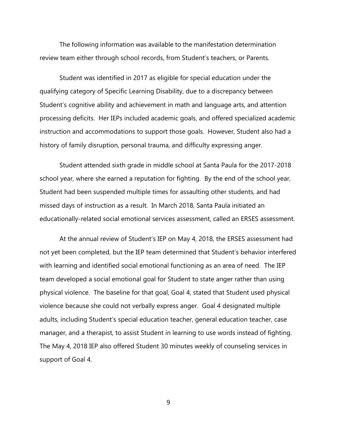The following information was available to the manifestation determination review team either through school records, from Student's teachers, or Parents.

Student was identified in 2017 as eligible for special education under the qualifying category of Specific Learning Disability, due to a discrepancy between Student's cognitive ability and achievement in math and language arts, and attention processing deficits. Her IEPs included academic goals, and offered specialized academic instruction and accommodations to support those goals. However, Student also had a history of family disruption, personal trauma, and difficulty expressing anger.

Student attended sixth grade in middle school at Santa Paula for the 2017-2018 school year, where she earned a reputation for fighting. By the end of the school year, Student had been suspended multiple times for assaulting other students, and had missed days of instruction as a result. In March 2018, Santa Paula initiated an educationally-related social emotional services assessment, called an ERSES assessment.

At the annual review of Student's IEP on May 4, 2018, the ERSES assessment had not yet been completed, but the IEP team determined that Student's behavior interfered with learning and identified social emotional functioning as an area of need. The IEP team developed a social emotional goal for Student to state anger rather than using physical violence. The baseline for that goal, Goal 4, stated that Student used physical violence because she could not verbally express anger. Goal 4 designated multiple adults, including Student's special education teacher, general education teacher, case manager, and a therapist, to assist Student in learning to use words instead of fighting. The May 4, 2018 IEP also offered Student 30 minutes weekly of counseling services in support of Goal 4.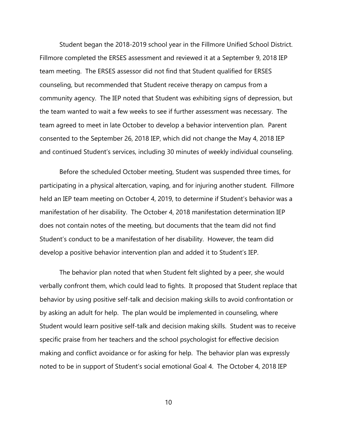Student began the 2018-2019 school year in the Fillmore Unified School District. Fillmore completed the ERSES assessment and reviewed it at a September 9, 2018 IEP team meeting. The ERSES assessor did not find that Student qualified for ERSES counseling, but recommended that Student receive therapy on campus from a community agency. The IEP noted that Student was exhibiting signs of depression, but the team wanted to wait a few weeks to see if further assessment was necessary. The team agreed to meet in late October to develop a behavior intervention plan. Parent consented to the September 26, 2018 IEP, which did not change the May 4, 2018 IEP and continued Student's services, including 30 minutes of weekly individual counseling.

Before the scheduled October meeting, Student was suspended three times, for participating in a physical altercation, vaping, and for injuring another student. Fillmore held an IEP team meeting on October 4, 2019, to determine if Student's behavior was a manifestation of her disability. The October 4, 2018 manifestation determination IEP does not contain notes of the meeting, but documents that the team did not find Student's conduct to be a manifestation of her disability. However, the team did develop a positive behavior intervention plan and added it to Student's IEP.

The behavior plan noted that when Student felt slighted by a peer, she would verbally confront them, which could lead to fights. It proposed that Student replace that behavior by using positive self-talk and decision making skills to avoid confrontation or by asking an adult for help. The plan would be implemented in counseling, where Student would learn positive self-talk and decision making skills. Student was to receive specific praise from her teachers and the school psychologist for effective decision making and conflict avoidance or for asking for help. The behavior plan was expressly noted to be in support of Student's social emotional Goal 4. The October 4, 2018 IEP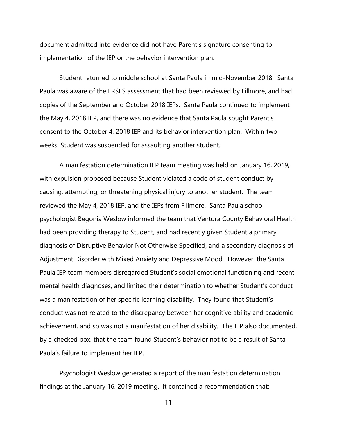document admitted into evidence did not have Parent's signature consenting to implementation of the IEP or the behavior intervention plan.

Student returned to middle school at Santa Paula in mid-November 2018. Santa Paula was aware of the ERSES assessment that had been reviewed by Fillmore, and had copies of the September and October 2018 IEPs. Santa Paula continued to implement the May 4, 2018 IEP, and there was no evidence that Santa Paula sought Parent's consent to the October 4, 2018 IEP and its behavior intervention plan. Within two weeks, Student was suspended for assaulting another student.

A manifestation determination IEP team meeting was held on January 16, 2019, with expulsion proposed because Student violated a code of student conduct by causing, attempting, or threatening physical injury to another student. The team reviewed the May 4, 2018 IEP, and the IEPs from Fillmore. Santa Paula school psychologist Begonia Weslow informed the team that Ventura County Behavioral Health had been providing therapy to Student, and had recently given Student a primary diagnosis of Disruptive Behavior Not Otherwise Specified, and a secondary diagnosis of Adjustment Disorder with Mixed Anxiety and Depressive Mood. However, the Santa Paula IEP team members disregarded Student's social emotional functioning and recent mental health diagnoses, and limited their determination to whether Student's conduct was a manifestation of her specific learning disability. They found that Student's conduct was not related to the discrepancy between her cognitive ability and academic achievement, and so was not a manifestation of her disability. The IEP also documented, by a checked box, that the team found Student's behavior not to be a result of Santa Paula's failure to implement her IEP.

Psychologist Weslow generated a report of the manifestation determination findings at the January 16, 2019 meeting. It contained a recommendation that: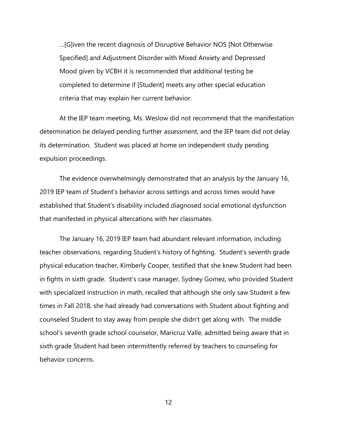…[G]iven the recent diagnosis of Disruptive Behavior NOS [Not Otherwise Specified] and Adjustment Disorder with Mixed Anxiety and Depressed Mood given by VCBH it is recommended that additional testing be completed to determine if [Student] meets any other special education criteria that may explain her current behavior.

At the IEP team meeting, Ms. Weslow did not recommend that the manifestation determination be delayed pending further assessment, and the IEP team did not delay its determination. Student was placed at home on independent study pending expulsion proceedings.

The evidence overwhelmingly demonstrated that an analysis by the January 16, 2019 IEP team of Student's behavior across settings and across times would have established that Student's disability included diagnosed social emotional dysfunction that manifested in physical altercations with her classmates.

The January 16, 2019 IEP team had abundant relevant information, including teacher observations, regarding Student's history of fighting. Student's seventh grade physical education teacher, Kimberly Cooper, testified that she knew Student had been in fights in sixth grade. Student's case manager, Sydney Gomez, who provided Student with specialized instruction in math, recalled that although she only saw Student a few times in Fall 2018, she had already had conversations with Student about fighting and counseled Student to stay away from people she didn't get along with. The middle school's seventh grade school counselor, Maricruz Valle, admitted being aware that in sixth grade Student had been intermittently referred by teachers to counseling for behavior concerns.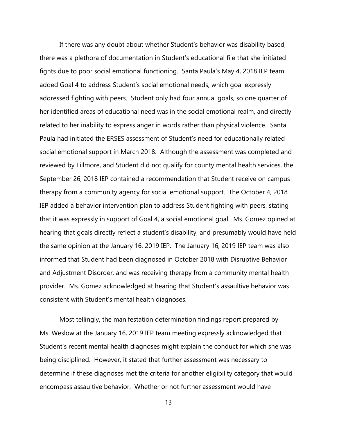If there was any doubt about whether Student's behavior was disability based, there was a plethora of documentation in Student's educational file that she initiated fights due to poor social emotional functioning. Santa Paula's May 4, 2018 IEP team added Goal 4 to address Student's social emotional needs, which goal expressly addressed fighting with peers. Student only had four annual goals, so one quarter of her identified areas of educational need was in the social emotional realm, and directly related to her inability to express anger in words rather than physical violence. Santa Paula had initiated the ERSES assessment of Student's need for educationally related social emotional support in March 2018. Although the assessment was completed and reviewed by Fillmore, and Student did not qualify for county mental health services, the September 26, 2018 IEP contained a recommendation that Student receive on campus therapy from a community agency for social emotional support. The October 4, 2018 IEP added a behavior intervention plan to address Student fighting with peers, stating that it was expressly in support of Goal 4, a social emotional goal. Ms. Gomez opined at hearing that goals directly reflect a student's disability, and presumably would have held the same opinion at the January 16, 2019 IEP. The January 16, 2019 IEP team was also informed that Student had been diagnosed in October 2018 with Disruptive Behavior and Adjustment Disorder, and was receiving therapy from a community mental health provider. Ms. Gomez acknowledged at hearing that Student's assaultive behavior was consistent with Student's mental health diagnoses.

Most tellingly, the manifestation determination findings report prepared by Ms. Weslow at the January 16, 2019 IEP team meeting expressly acknowledged that Student's recent mental health diagnoses might explain the conduct for which she was being disciplined. However, it stated that further assessment was necessary to determine if these diagnoses met the criteria for another eligibility category that would encompass assaultive behavior. Whether or not further assessment would have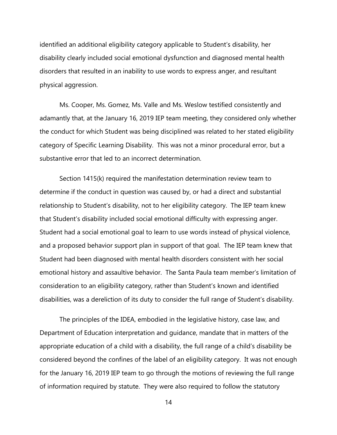identified an additional eligibility category applicable to Student's disability, her disability clearly included social emotional dysfunction and diagnosed mental health disorders that resulted in an inability to use words to express anger, and resultant physical aggression.

Ms. Cooper, Ms. Gomez, Ms. Valle and Ms. Weslow testified consistently and adamantly that, at the January 16, 2019 IEP team meeting, they considered only whether the conduct for which Student was being disciplined was related to her stated eligibility category of Specific Learning Disability. This was not a minor procedural error, but a substantive error that led to an incorrect determination.

Section 1415(k) required the manifestation determination review team to determine if the conduct in question was caused by, or had a direct and substantial relationship to Student's disability, not to her eligibility category. The IEP team knew that Student's disability included social emotional difficulty with expressing anger. Student had a social emotional goal to learn to use words instead of physical violence, and a proposed behavior support plan in support of that goal. The IEP team knew that Student had been diagnosed with mental health disorders consistent with her social emotional history and assaultive behavior. The Santa Paula team member's limitation of consideration to an eligibility category, rather than Student's known and identified disabilities, was a dereliction of its duty to consider the full range of Student's disability.

The principles of the IDEA, embodied in the legislative history, case law, and Department of Education interpretation and guidance, mandate that in matters of the appropriate education of a child with a disability, the full range of a child's disability be considered beyond the confines of the label of an eligibility category. It was not enough for the January 16, 2019 IEP team to go through the motions of reviewing the full range of information required by statute. They were also required to follow the statutory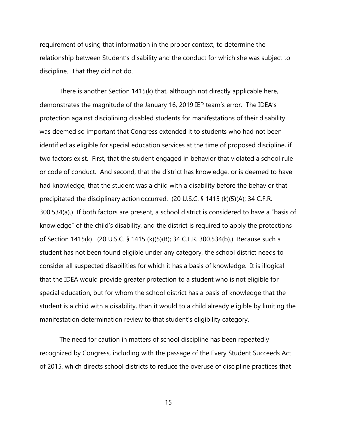requirement of using that information in the proper context, to determine the relationship between Student's disability and the conduct for which she was subject to discipline. That they did not do.

There is another Section 1415(k) that, although not directly applicable here, demonstrates the magnitude of the January 16, 2019 IEP team's error. The IDEA's protection against disciplining disabled students for manifestations of their disability was deemed so important that Congress extended it to students who had not been identified as eligible for special education services at the time of proposed discipline, if two factors exist. First, that the student engaged in behavior that violated a school rule or code of conduct. And second, that the district has knowledge, or is deemed to have had knowledge, that the student was a child with a disability before the behavior that precipitated the disciplinary action occurred. (20 U.S.C. § 1415 (k)(5)(A); 34 C.F.R. 300.534(a).) If both factors are present, a school district is considered to have a "basis of knowledge" of the child's disability, and the district is required to apply the protections of Section 1415(k). (20 U.S.C. § 1415 (k)(5)(B); 34 C.F.R. 300.534(b).) Because such a student has not been found eligible under any category, the school district needs to consider all suspected disabilities for which it has a basis of knowledge. It is illogical that the IDEA would provide greater protection to a student who is not eligible for special education, but for whom the school district has a basis of knowledge that the student is a child with a disability, than it would to a child already eligible by limiting the manifestation determination review to that student's eligibility category.

The need for caution in matters of school discipline has been repeatedly recognized by Congress, including with the passage of the Every Student Succeeds Act of 2015, which directs school districts to reduce the overuse of discipline practices that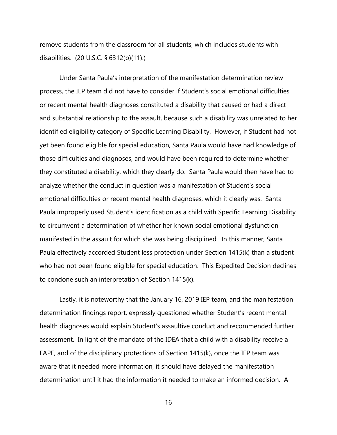remove students from the classroom for all students, which includes students with disabilities. (20 U.S.C. § 6312(b)(11).)

Under Santa Paula's interpretation of the manifestation determination review process, the IEP team did not have to consider if Student's social emotional difficulties or recent mental health diagnoses constituted a disability that caused or had a direct and substantial relationship to the assault, because such a disability was unrelated to her identified eligibility category of Specific Learning Disability. However, if Student had not yet been found eligible for special education, Santa Paula would have had knowledge of those difficulties and diagnoses, and would have been required to determine whether they constituted a disability, which they clearly do. Santa Paula would then have had to analyze whether the conduct in question was a manifestation of Student's social emotional difficulties or recent mental health diagnoses, which it clearly was. Santa Paula improperly used Student's identification as a child with Specific Learning Disability to circumvent a determination of whether her known social emotional dysfunction manifested in the assault for which she was being disciplined. In this manner, Santa Paula effectively accorded Student less protection under Section 1415(k) than a student who had not been found eligible for special education. This Expedited Decision declines to condone such an interpretation of Section 1415(k).

Lastly, it is noteworthy that the January 16, 2019 IEP team, and the manifestation determination findings report, expressly questioned whether Student's recent mental health diagnoses would explain Student's assaultive conduct and recommended further assessment. In light of the mandate of the IDEA that a child with a disability receive a FAPE, and of the disciplinary protections of Section 1415(k), once the IEP team was aware that it needed more information, it should have delayed the manifestation determination until it had the information it needed to make an informed decision. A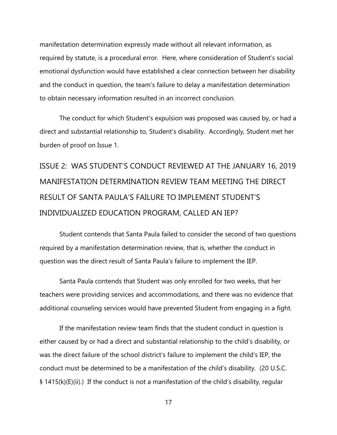manifestation determination expressly made without all relevant information, as required by statute, is a procedural error. Here, where consideration of Student's social emotional dysfunction would have established a clear connection between her disability and the conduct in question, the team's failure to delay a manifestation determination to obtain necessary information resulted in an incorrect conclusion.

The conduct for which Student's expulsion was proposed was caused by, or had a direct and substantial relationship to, Student's disability. Accordingly, Student met her burden of proof on Issue 1.

# ISSUE 2: WAS STUDENT'S CONDUCT REVIEWED AT THE JANUARY 16, 2019 MANIFESTATION DETERMINATION REVIEW TEAM MEETING THE DIRECT RESULT OF SANTA PAULA'S FAILURE TO IMPLEMENT STUDENT'S INDIVIDUALIZED EDUCATION PROGRAM, CALLED AN IEP?

Student contends that Santa Paula failed to consider the second of two questions required by a manifestation determination review, that is, whether the conduct in question was the direct result of Santa Paula's failure to implement the IEP.

Santa Paula contends that Student was only enrolled for two weeks, that her teachers were providing services and accommodations, and there was no evidence that additional counseling services would have prevented Student from engaging in a fight.

If the manifestation review team finds that the student conduct in question is either caused by or had a direct and substantial relationship to the child's disability, or was the direct failure of the school district's failure to implement the child's IEP, the conduct must be determined to be a manifestation of the child's disability. (20 U.S.C. § 1415(k)(E)(ii).) If the conduct is not a manifestation of the child's disability, regular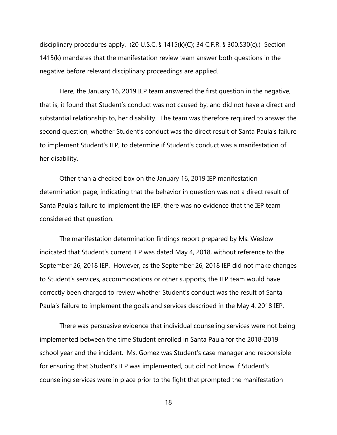disciplinary procedures apply. (20 U.S.C. § 1415(k)(C); 34 C.F.R. § 300.530(c).) Section 1415(k) mandates that the manifestation review team answer both questions in the negative before relevant disciplinary proceedings are applied.

Here, the January 16, 2019 IEP team answered the first question in the negative, that is, it found that Student's conduct was not caused by, and did not have a direct and substantial relationship to, her disability. The team was therefore required to answer the second question, whether Student's conduct was the direct result of Santa Paula's failure to implement Student's IEP, to determine if Student's conduct was a manifestation of her disability.

Other than a checked box on the January 16, 2019 IEP manifestation determination page, indicating that the behavior in question was not a direct result of Santa Paula's failure to implement the IEP, there was no evidence that the IEP team considered that question.

The manifestation determination findings report prepared by Ms. Weslow indicated that Student's current IEP was dated May 4, 2018, without reference to the September 26, 2018 IEP. However, as the September 26, 2018 IEP did not make changes to Student's services, accommodations or other supports, the IEP team would have correctly been charged to review whether Student's conduct was the result of Santa Paula's failure to implement the goals and services described in the May 4, 2018 IEP.

There was persuasive evidence that individual counseling services were not being implemented between the time Student enrolled in Santa Paula for the 2018-2019 school year and the incident. Ms. Gomez was Student's case manager and responsible for ensuring that Student's IEP was implemented, but did not know if Student's counseling services were in place prior to the fight that prompted the manifestation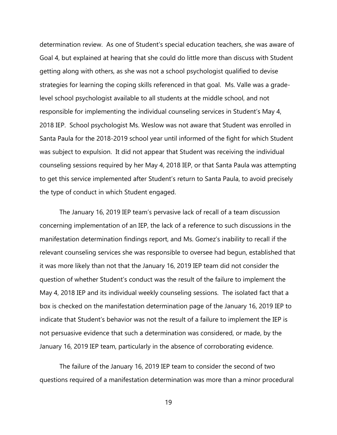determination review. As one of Student's special education teachers, she was aware of Goal 4, but explained at hearing that she could do little more than discuss with Student getting along with others, as she was not a school psychologist qualified to devise strategies for learning the coping skills referenced in that goal. Ms. Valle was a gradelevel school psychologist available to all students at the middle school, and not responsible for implementing the individual counseling services in Student's May 4, 2018 IEP. School psychologist Ms. Weslow was not aware that Student was enrolled in Santa Paula for the 2018-2019 school year until informed of the fight for which Student was subject to expulsion. It did not appear that Student was receiving the individual counseling sessions required by her May 4, 2018 IEP, or that Santa Paula was attempting to get this service implemented after Student's return to Santa Paula, to avoid precisely the type of conduct in which Student engaged.

The January 16, 2019 IEP team's pervasive lack of recall of a team discussion concerning implementation of an IEP, the lack of a reference to such discussions in the manifestation determination findings report, and Ms. Gomez's inability to recall if the relevant counseling services she was responsible to oversee had begun, established that it was more likely than not that the January 16, 2019 IEP team did not consider the question of whether Student's conduct was the result of the failure to implement the May 4, 2018 IEP and its individual weekly counseling sessions. The isolated fact that a box is checked on the manifestation determination page of the January 16, 2019 IEP to indicate that Student's behavior was not the result of a failure to implement the IEP is not persuasive evidence that such a determination was considered, or made, by the January 16, 2019 IEP team, particularly in the absence of corroborating evidence.

The failure of the January 16, 2019 IEP team to consider the second of two questions required of a manifestation determination was more than a minor procedural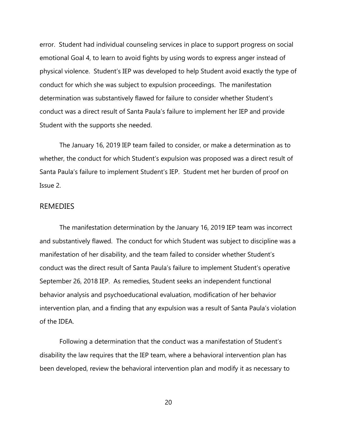error. Student had individual counseling services in place to support progress on social emotional Goal 4, to learn to avoid fights by using words to express anger instead of physical violence. Student's IEP was developed to help Student avoid exactly the type of conduct for which she was subject to expulsion proceedings. The manifestation determination was substantively flawed for failure to consider whether Student's conduct was a direct result of Santa Paula's failure to implement her IEP and provide Student with the supports she needed.

The January 16, 2019 IEP team failed to consider, or make a determination as to whether, the conduct for which Student's expulsion was proposed was a direct result of Santa Paula's failure to implement Student's IEP. Student met her burden of proof on Issue 2.

### REMEDIES

The manifestation determination by the January 16, 2019 IEP team was incorrect and substantively flawed. The conduct for which Student was subject to discipline was a manifestation of her disability, and the team failed to consider whether Student's conduct was the direct result of Santa Paula's failure to implement Student's operative September 26, 2018 IEP. As remedies, Student seeks an independent functional behavior analysis and psychoeducational evaluation, modification of her behavior intervention plan, and a finding that any expulsion was a result of Santa Paula's violation of the IDEA.

Following a determination that the conduct was a manifestation of Student's disability the law requires that the IEP team, where a behavioral intervention plan has been developed, review the behavioral intervention plan and modify it as necessary to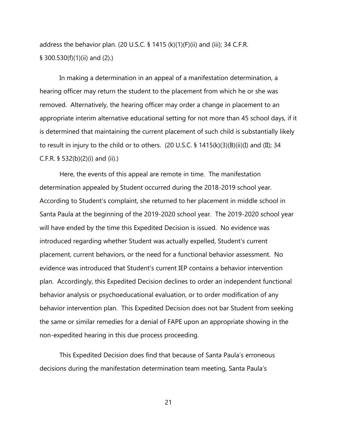address the behavior plan. (20 U.S.C. § 1415 (k)(1)(F)(ii) and (iii); 34 C.F.R. § 300.530(f)(1)(ii) and (2).)

In making a determination in an appeal of a manifestation determination, a hearing officer may return the student to the placement from which he or she was removed. Alternatively, the hearing officer may order a change in placement to an appropriate interim alternative educational setting for not more than 45 school days, if it is determined that maintaining the current placement of such child is substantially likely to result in injury to the child or to others. (20 U.S.C. § 1415(k)(3)(B)(ii)(I) and (II); 34 C.F.R. § 532(b)(2)(i) and (ii).)

Here, the events of this appeal are remote in time. The manifestation determination appealed by Student occurred during the 2018-2019 school year. According to Student's complaint, she returned to her placement in middle school in Santa Paula at the beginning of the 2019-2020 school year. The 2019-2020 school year will have ended by the time this Expedited Decision is issued. No evidence was introduced regarding whether Student was actually expelled, Student's current placement, current behaviors, or the need for a functional behavior assessment. No evidence was introduced that Student's current IEP contains a behavior intervention plan. Accordingly, this Expedited Decision declines to order an independent functional behavior analysis or psychoeducational evaluation, or to order modification of any behavior intervention plan. This Expedited Decision does not bar Student from seeking the same or similar remedies for a denial of FAPE upon an appropriate showing in the non-expedited hearing in this due process proceeding.

This Expedited Decision does find that because of Santa Paula's erroneous decisions during the manifestation determination team meeting, Santa Paula's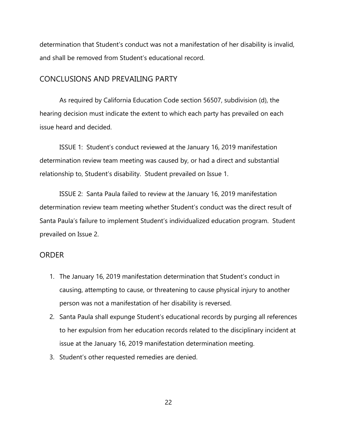determination that Student's conduct was not a manifestation of her disability is invalid, and shall be removed from Student's educational record.

### CONCLUSIONS AND PREVAILING PARTY

As required by California Education Code section 56507, subdivision (d), the hearing decision must indicate the extent to which each party has prevailed on each issue heard and decided.

ISSUE 1: Student's conduct reviewed at the January 16, 2019 manifestation determination review team meeting was caused by, or had a direct and substantial relationship to, Student's disability. Student prevailed on Issue 1.

ISSUE 2: Santa Paula failed to review at the January 16, 2019 manifestation determination review team meeting whether Student's conduct was the direct result of Santa Paula's failure to implement Student's individualized education program. Student prevailed on Issue 2.

### ORDER

- 1. The January 16, 2019 manifestation determination that Student's conduct in causing, attempting to cause, or threatening to cause physical injury to another person was not a manifestation of her disability is reversed.
- 2. Santa Paula shall expunge Student's educational records by purging all references to her expulsion from her education records related to the disciplinary incident at issue at the January 16, 2019 manifestation determination meeting.
- 3. Student's other requested remedies are denied.